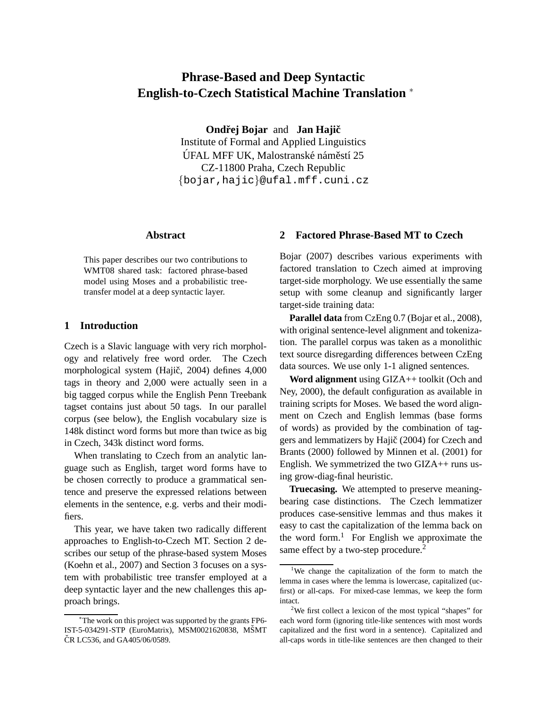# **Phrase-Based and Deep Syntactic English-to-Czech Statistical Machine Translation** <sup>∗</sup>

**Ondřej Bojar** and **Jan Hajič** 

Institute of Formal and Applied Linguistics ÚFAL MFF UK, Malostranské náměstí 25 CZ-11800 Praha, Czech Republic {bojar,hajic}@ufal.mff.cuni.cz

# **Abstract**

This paper describes our two contributions to WMT08 shared task: factored phrase-based model using Moses and a probabilistic treetransfer model at a deep syntactic layer.

# **1 Introduction**

Czech is a Slavic language with very rich morphology and relatively free word order. The Czech morphological system (Hajič, 2004) defines 4,000 tags in theory and 2,000 were actually seen in a big tagged corpus while the English Penn Treebank tagset contains just about 50 tags. In our parallel corpus (see below), the English vocabulary size is 148k distinct word forms but more than twice as big in Czech, 343k distinct word forms.

When translating to Czech from an analytic language such as English, target word forms have to be chosen correctly to produce a grammatical sentence and preserve the expressed relations between elements in the sentence, e.g. verbs and their modifiers.

This year, we have taken two radically different approaches to English-to-Czech MT. Section 2 describes our setup of the phrase-based system Moses (Koehn et al., 2007) and Section 3 focuses on a system with probabilistic tree transfer employed at a deep syntactic layer and the new challenges this approach brings.

## **2 Factored Phrase-Based MT to Czech**

Bojar (2007) describes various experiments with factored translation to Czech aimed at improving target-side morphology. We use essentially the same setup with some cleanup and significantly larger target-side training data:

**Parallel data** from CzEng 0.7 (Bojar et al., 2008), with original sentence-level alignment and tokenization. The parallel corpus was taken as a monolithic text source disregarding differences between CzEng data sources. We use only 1-1 aligned sentences.

**Word alignment** using GIZA++ toolkit (Och and Ney, 2000), the default configuration as available in training scripts for Moses. We based the word alignment on Czech and English lemmas (base forms of words) as provided by the combination of taggers and lemmatizers by Hajič (2004) for Czech and Brants (2000) followed by Minnen et al. (2001) for English. We symmetrized the two GIZA++ runs using grow-diag-final heuristic.

**Truecasing.** We attempted to preserve meaningbearing case distinctions. The Czech lemmatizer produces case-sensitive lemmas and thus makes it easy to cast the capitalization of the lemma back on the word form. $<sup>1</sup>$  For English we approximate the</sup> same effect by a two-step procedure.<sup>2</sup>

<sup>∗</sup>The work on this project was supported by the grants FP6- IST-5-034291-STP (EuroMatrix), MSM0021620838, MŠMT ČR LC536, and GA405/06/0589.

<sup>&</sup>lt;sup>1</sup>We change the capitalization of the form to match the lemma in cases where the lemma is lowercase, capitalized (ucfirst) or all-caps. For mixed-case lemmas, we keep the form intact.

<sup>2</sup>We first collect a lexicon of the most typical "shapes" for each word form (ignoring title-like sentences with most words capitalized and the first word in a sentence). Capitalized and all-caps words in title-like sentences are then changed to their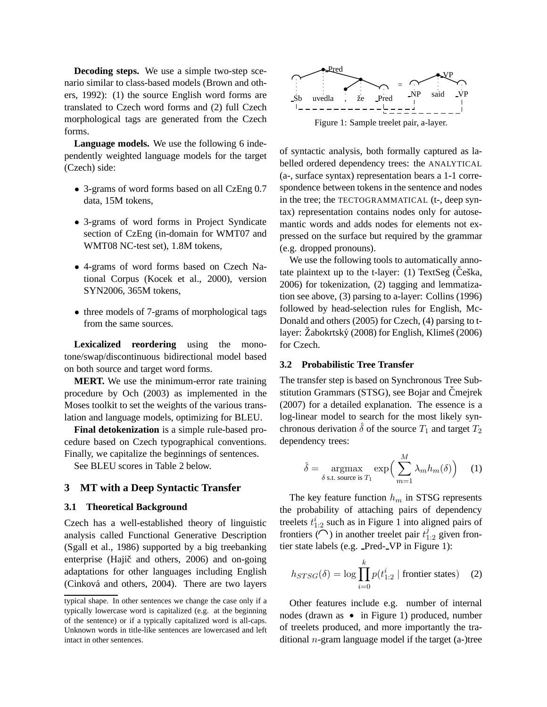**Decoding steps.** We use a simple two-step scenario similar to class-based models (Brown and others, 1992): (1) the source English word forms are translated to Czech word forms and (2) full Czech morphological tags are generated from the Czech forms.

**Language models.** We use the following 6 independently weighted language models for the target (Czech) side:

- 3-grams of word forms based on all CzEng 0.7 data, 15M tokens,
- 3-grams of word forms in Project Syndicate section of CzEng (in-domain for WMT07 and WMT08 NC-test set), 1.8M tokens,
- 4-grams of word forms based on Czech National Corpus (Kocek et al., 2000), version SYN2006, 365M tokens,
- three models of 7-grams of morphological tags from the same sources.

**Lexicalized reordering** using the monotone/swap/discontinuous bidirectional model based on both source and target word forms.

**MERT.** We use the minimum-error rate training procedure by Och (2003) as implemented in the Moses toolkit to set the weights of the various translation and language models, optimizing for BLEU.

**Final detokenization** is a simple rule-based procedure based on Czech typographical conventions. Finally, we capitalize the beginnings of sentences.

See BLEU scores in Table 2 below.

## **3 MT with a Deep Syntactic Transfer**

#### **3.1 Theoretical Background**

Czech has a well-established theory of linguistic analysis called Functional Generative Description (Sgall et al., 1986) supported by a big treebanking enterprise (Hajič and others, 2006) and on-going adaptations for other languages including English (Cinková and others, 2004). There are two layers



of syntactic analysis, both formally captured as labelled ordered dependency trees: the ANALYTICAL (a-, surface syntax) representation bears a 1-1 correspondence between tokens in the sentence and nodes in the tree; the TECTOGRAMMATICAL (t-, deep syntax) representation contains nodes only for autosemantic words and adds nodes for elements not expressed on the surface but required by the grammar (e.g. dropped pronouns).

We use the following tools to automatically annotate plaintext up to the t-layer:  $(1)$  TextSeg (Češka, 2006) for tokenization, (2) tagging and lemmatization see above, (3) parsing to a-layer: Collins (1996) followed by head-selection rules for English, Mc-Donald and others (2005) for Czech, (4) parsing to tlayer:  $\dot{Z}$ abokrtský (2008) for English, Klimeš (2006) for Czech.

#### **3.2 Probabilistic Tree Transfer**

The transfer step is based on Synchronous Tree Substitution Grammars (STSG), see Bojar and Čmejrek (2007) for a detailed explanation. The essence is a log-linear model to search for the most likely synchronous derivation  $\hat{\delta}$  of the source  $T_1$  and target  $T_2$ dependency trees:

$$
\hat{\delta} = \underset{\delta \text{ s.t. source is } T_1}{\operatorname{argmax}} \exp\left(\sum_{m=1}^{M} \lambda_m h_m(\delta)\right) \quad (1)
$$

 $\ddot{\phantom{0}}$ 

The key feature function  $h_m$  in STSG represents the probability of attaching pairs of dependency treelets  $t_{1:2}^i$  such as in Figure 1 into aligned pairs of frontiers  $(\bigcap)$  in another treelet pair  $t_{1:2}^j$  given frontier state labels (e.g. Pred- VP in Figure 1):

$$
h_{STSG}(\delta) = \log \prod_{i=0}^{k} p(t_{1:2}^i \mid \text{frontier states}) \quad (2)
$$

Other features include e.g. number of internal nodes (drawn as  $\bullet$  in Figure 1) produced, number of treelets produced, and more importantly the traditional  $n$ -gram language model if the target (a-)tree

typical shape. In other sentences we change the case only if a typically lowercase word is capitalized (e.g. at the beginning of the sentence) or if a typically capitalized word is all-caps. Unknown words in title-like sentences are lowercased and left intact in other sentences.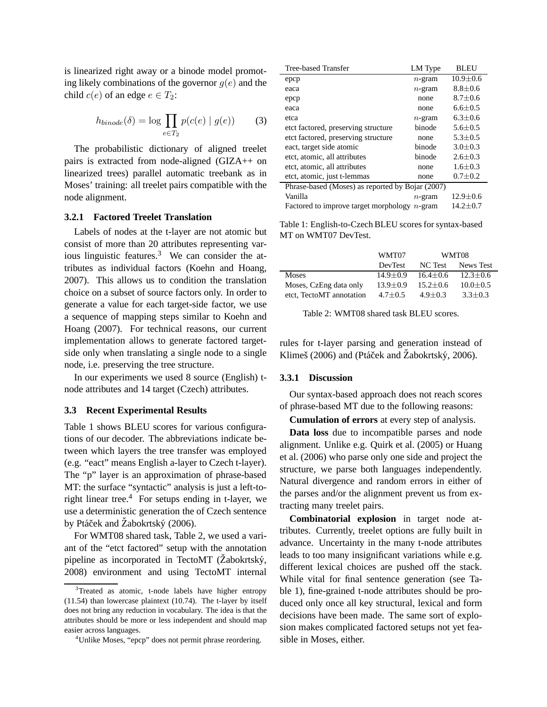is linearized right away or a binode model promoting likely combinations of the governor  $g(e)$  and the child  $c(e)$  of an edge  $e \in T_2$ :

$$
h_{binode}(\delta) = \log \prod_{e \in T_2} p(c(e) \mid g(e)) \tag{3}
$$

The probabilistic dictionary of aligned treelet pairs is extracted from node-aligned (GIZA++ on linearized trees) parallel automatic treebank as in Moses' training: all treelet pairs compatible with the node alignment.

#### **3.2.1 Factored Treelet Translation**

Labels of nodes at the t-layer are not atomic but consist of more than 20 attributes representing various linguistic features. $3$  We can consider the attributes as individual factors (Koehn and Hoang, 2007). This allows us to condition the translation choice on a subset of source factors only. In order to generate a value for each target-side factor, we use a sequence of mapping steps similar to Koehn and Hoang (2007). For technical reasons, our current implementation allows to generate factored targetside only when translating a single node to a single node, i.e. preserving the tree structure.

In our experiments we used 8 source (English) tnode attributes and 14 target (Czech) attributes.

#### **3.3 Recent Experimental Results**

Table 1 shows BLEU scores for various configurations of our decoder. The abbreviations indicate between which layers the tree transfer was employed (e.g. "eact" means English a-layer to Czech t-layer). The "p" layer is an approximation of phrase-based MT: the surface "syntactic" analysis is just a left-toright linear tree.<sup>4</sup> For setups ending in t-layer, we use a deterministic generation the of Czech sentence by Ptáček and Žabokrtský (2006).

For WMT08 shared task, Table 2, we used a variant of the "etct factored" setup with the annotation pipeline as incorporated in TectoMT (Žabokrtský, 2008) environment and using TectoMT internal

| Tree-based Transfer                                | LM Type   | <b>BLEU</b>   |  |
|----------------------------------------------------|-----------|---------------|--|
| epcp                                               | $n$ -gram | $10.9 + 0.6$  |  |
| eaca                                               | $n$ -gram | $8.8 \pm 0.6$ |  |
| epcp                                               | none      | $8.7 \pm 0.6$ |  |
| eaca                                               | none      | $6.6 \pm 0.5$ |  |
| etca                                               | $n$ -gram | $6.3 + 0.6$   |  |
| etct factored, preserving structure                | binode    | $5.6 + 0.5$   |  |
| etct factored, preserving structure                | none      | $5.3 \pm 0.5$ |  |
| eact, target side atomic                           | binode    | $3.0 \pm 0.3$ |  |
| etct, atomic, all attributes                       | binode    | $2.6 \pm 0.3$ |  |
| etct, atomic, all attributes                       | none      | $1.6 + 0.3$   |  |
| etct, atomic, just t-lemmas                        | none      | $0.7 \pm 0.2$ |  |
| Phrase-based (Moses) as reported by Bojar (2007)   |           |               |  |
| Vanilla                                            | $n$ -gram | $12.9 + 0.6$  |  |
| Factored to improve target morphology<br>$n$ -gram |           | $14.2 + 0.7$  |  |

Table 1: English-to-Czech BLEU scores for syntax-based MT on WMT07 DevTest.

|                          | WMT07          | WMT08        |              |
|--------------------------|----------------|--------------|--------------|
|                          | <b>DevTest</b> | NC Test      | News Test    |
| <b>Moses</b>             | $14.9 + 0.9$   | $16.4 + 0.6$ | $12.3 + 0.6$ |
| Moses, CzEng data only   | $13.9 + 0.9$   | $15.2 + 0.6$ | $10.0 + 0.5$ |
| etct, TectoMT annotation | $4.7 + 0.5$    | $4.9 + 0.3$  | $3.3 + 0.3$  |

Table 2: WMT08 shared task BLEU scores.

rules for t-layer parsing and generation instead of Klimeš (2006) and (Ptáček and Žabokrtský, 2006).

## **3.3.1 Discussion**

Our syntax-based approach does not reach scores of phrase-based MT due to the following reasons:

**Cumulation of errors** at every step of analysis.

**Data loss** due to incompatible parses and node alignment. Unlike e.g. Quirk et al. (2005) or Huang et al. (2006) who parse only one side and project the structure, we parse both languages independently. Natural divergence and random errors in either of the parses and/or the alignment prevent us from extracting many treelet pairs.

**Combinatorial explosion** in target node attributes. Currently, treelet options are fully built in advance. Uncertainty in the many t-node attributes leads to too many insignificant variations while e.g. different lexical choices are pushed off the stack. While vital for final sentence generation (see Table 1), fine-grained t-node attributes should be produced only once all key structural, lexical and form decisions have been made. The same sort of explosion makes complicated factored setups not yet feasible in Moses, either.

<sup>&</sup>lt;sup>3</sup>Treated as atomic, t-node labels have higher entropy (11.54) than lowercase plaintext (10.74). The t-layer by itself does not bring any reduction in vocabulary. The idea is that the attributes should be more or less independent and should map easier across languages.

<sup>4</sup>Unlike Moses, "epcp" does not permit phrase reordering.